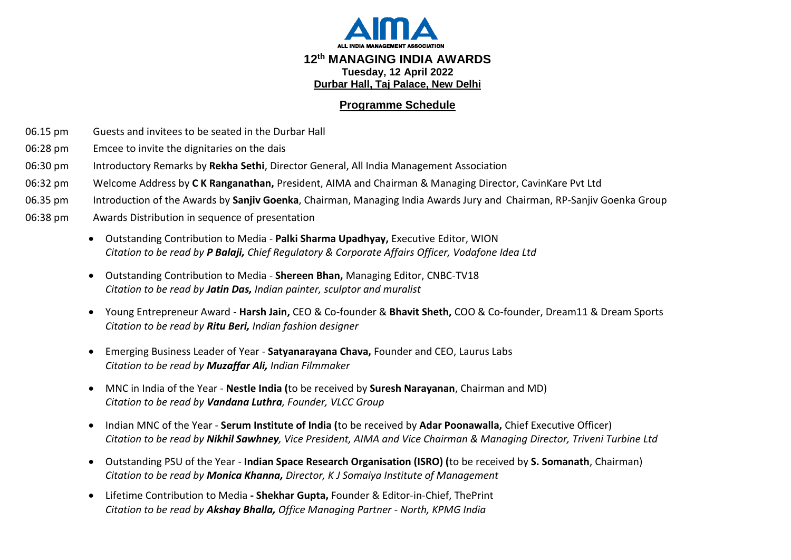

## **Programme Schedule**

- 06.15 pm Guests and invitees to be seated in the Durbar Hall
- 06:28 pm Emcee to invite the dignitaries on the dais
- 06:30 pm Introductory Remarks by **Rekha Sethi**, Director General, All India Management Association
- 06:32 pm Welcome Address by **C K Ranganathan,** President, AIMA and Chairman & Managing Director, CavinKare Pvt Ltd
- 06.35 pm Introduction of the Awards by **Sanjiv Goenka**, Chairman, Managing India Awards Jury and Chairman, RP-Sanjiv Goenka Group
- 06:38 pm Awards Distribution in sequence of presentation
	- Outstanding Contribution to Media **Palki Sharma Upadhyay,** Executive Editor, WION *Citation to be read by P Balaji, Chief Regulatory & Corporate Affairs Officer, Vodafone Idea Ltd*
	- Outstanding Contribution to Media **Shereen Bhan,** Managing Editor, CNBC-TV18 *Citation to be read by Jatin Das, Indian painter, sculptor and muralist*
	- Young Entrepreneur Award **Harsh Jain,** CEO & Co-founder & **Bhavit Sheth,** COO & Co-founder, Dream11 & Dream Sports *Citation to be read by Ritu Beri, Indian fashion designer*
	- Emerging Business Leader of Year **Satyanarayana Chava,** Founder and CEO, Laurus Labs *Citation to be read by Muzaffar Ali, Indian Filmmaker*
	- MNC in India of the Year **Nestle India (**to be received by **Suresh Narayanan**, Chairman and MD) *Citation to be read by Vandana Luthra, Founder, VLCC Group*
	- Indian MNC of the Year **Serum Institute of India (**to be received by **Adar Poonawalla,** Chief Executive Officer) *Citation to be read by Nikhil Sawhney, Vice President, AIMA and Vice Chairman & Managing Director, Triveni Turbine Ltd*
	- Outstanding PSU of the Year **Indian Space Research Organisation (ISRO) (**to be received by **S. Somanath**, Chairman) *Citation to be read by Monica Khanna, Director, K J Somaiya Institute of Management*
	- Lifetime Contribution to Media **- Shekhar Gupta,** Founder & Editor-in-Chief, ThePrint *Citation to be read by Akshay Bhalla, Office Managing Partner - North, KPMG India*